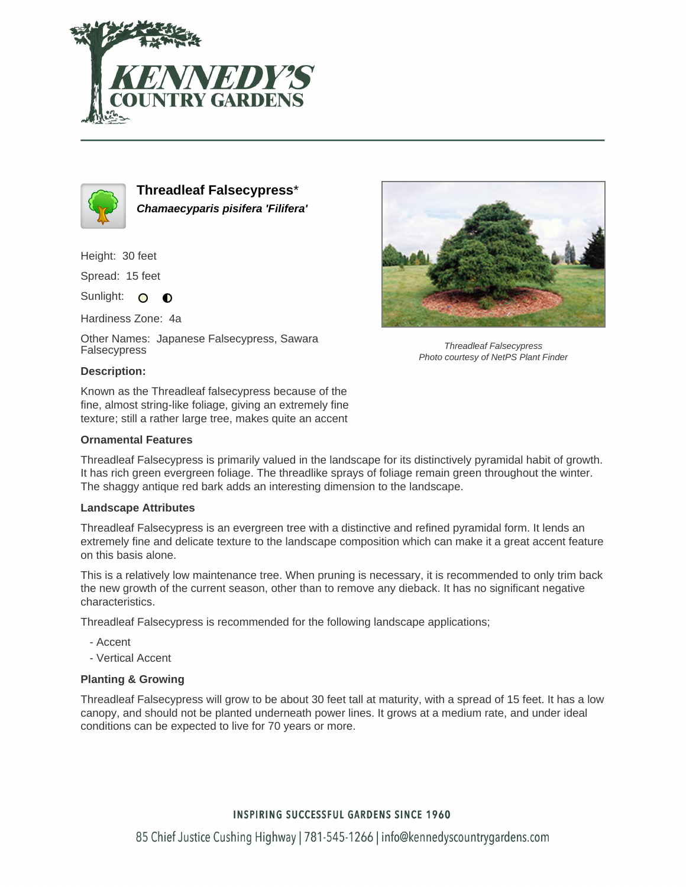



**Threadleaf Falsecypress**\* **Chamaecyparis pisifera 'Filifera'**

Height: 30 feet

Spread: 15 feet

Sunlight: O **O** 

Hardiness Zone: 4a

Other Names: Japanese Falsecypress, Sawara Falsecypress



Threadleaf Falsecypress Photo courtesy of NetPS Plant Finder

## **Description:**

Known as the Threadleaf falsecypress because of the fine, almost string-like foliage, giving an extremely fine texture; still a rather large tree, makes quite an accent

## **Ornamental Features**

Threadleaf Falsecypress is primarily valued in the landscape for its distinctively pyramidal habit of growth. It has rich green evergreen foliage. The threadlike sprays of foliage remain green throughout the winter. The shaggy antique red bark adds an interesting dimension to the landscape.

## **Landscape Attributes**

Threadleaf Falsecypress is an evergreen tree with a distinctive and refined pyramidal form. It lends an extremely fine and delicate texture to the landscape composition which can make it a great accent feature on this basis alone.

This is a relatively low maintenance tree. When pruning is necessary, it is recommended to only trim back the new growth of the current season, other than to remove any dieback. It has no significant negative characteristics.

Threadleaf Falsecypress is recommended for the following landscape applications;

- Accent
- Vertical Accent

## **Planting & Growing**

Threadleaf Falsecypress will grow to be about 30 feet tall at maturity, with a spread of 15 feet. It has a low canopy, and should not be planted underneath power lines. It grows at a medium rate, and under ideal conditions can be expected to live for 70 years or more.

# **INSPIRING SUCCESSFUL GARDENS SINCE 1960**